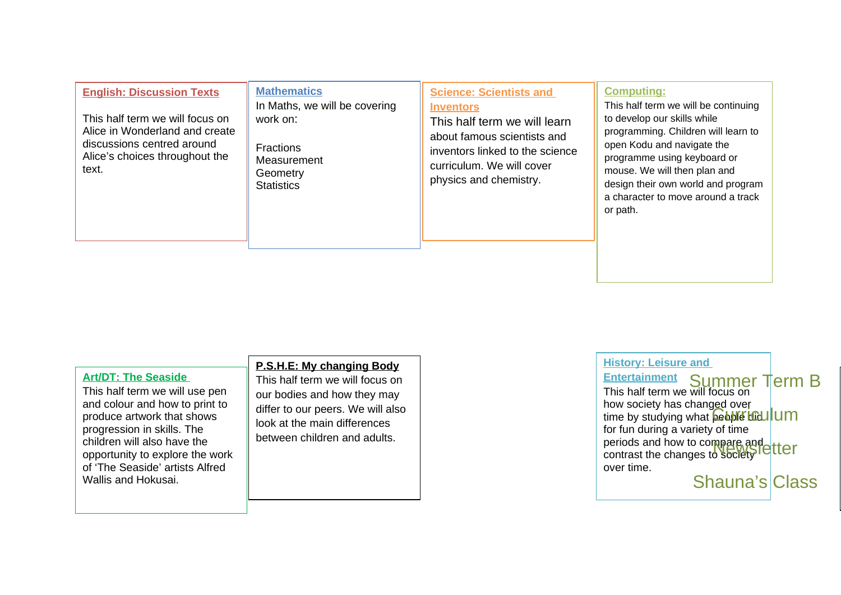| <b>English: Discussion Texts</b><br>This half term we will focus on<br>Alice in Wonderland and create<br>discussions centred around<br>Alice's choices throughout the<br>text. | <b>Mathematics</b><br>In Maths, we will be covering<br>work on:<br><b>Fractions</b><br>Measurement<br>Geometry<br><b>Statistics</b> | <b>Science: Scientists and</b><br><b>Inventors</b><br>This half term we will learn<br>about famous scientists and<br>inventors linked to the science<br>curriculum. We will cover<br>physics and chemistry. | <b>Computing:</b><br>This half term we will be continuing<br>to develop our skills while<br>programming. Children will learn to<br>open Kodu and navigate the<br>programme using keyboard or<br>mouse. We will then plan and<br>design their own world and program |
|--------------------------------------------------------------------------------------------------------------------------------------------------------------------------------|-------------------------------------------------------------------------------------------------------------------------------------|-------------------------------------------------------------------------------------------------------------------------------------------------------------------------------------------------------------|--------------------------------------------------------------------------------------------------------------------------------------------------------------------------------------------------------------------------------------------------------------------|
|                                                                                                                                                                                |                                                                                                                                     |                                                                                                                                                                                                             | a character to move around a track<br>or path.                                                                                                                                                                                                                     |

| <b>Art/DT: The Seaside</b><br>This half term we will use pen<br>and colour and how to print to<br>produce artwork that shows<br>progression in skills. The<br>children will also have the<br>opportunity to explore the work<br>of 'The Seaside' artists Alfred<br>Wallis and Hokusai. | P.S.H.E: My changing Body<br>This half term we will focus on<br>our bodies and how they may<br>differ to our peers. We will also<br>look at the main differences<br>between children and adults. |
|----------------------------------------------------------------------------------------------------------------------------------------------------------------------------------------------------------------------------------------------------------------------------------------|--------------------------------------------------------------------------------------------------------------------------------------------------------------------------------------------------|
|----------------------------------------------------------------------------------------------------------------------------------------------------------------------------------------------------------------------------------------------------------------------------------------|--------------------------------------------------------------------------------------------------------------------------------------------------------------------------------------------------|

**History: Leisure and** 

**Entertainment Entertainment Summer Term B**<br>This half term we will focus on how society has changed over time by studying what **beople did** for fun during a variety of time periods and how to compare and periods and now to compare and<br>contrast the changes to society letter over time. **<u>Geobre Loculum</u>** 

Shauna's Class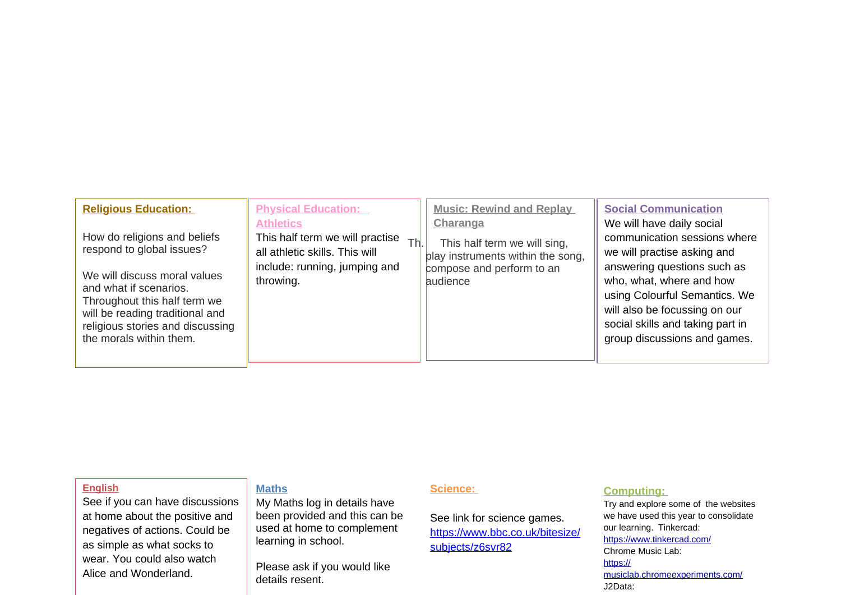| <b>Physical Education:</b><br><b>Religious Education:</b><br><b>Music: Rewind and Replay</b><br><b>Social Communication</b><br>We will have daily social<br><b>Athletics</b><br>Charanga<br>How do religions and beliefs<br>communication sessions where<br>This half term we will practise<br>Th.<br>This half term we will sing,<br>respond to global issues?<br>all athletic skills. This will<br>we will practise asking and<br>play instruments within the song,<br>answering questions such as<br>include: running, jumping and<br>compose and perform to an<br>We will discuss moral values<br>who, what, where and how<br>throwing.<br>audience<br>and what if scenarios.<br>using Colourful Semantics. We<br>Throughout this half term we<br>will also be focussing on our<br>will be reading traditional and<br>social skills and taking part in<br>religious stories and discussing |                         |  |                              |
|------------------------------------------------------------------------------------------------------------------------------------------------------------------------------------------------------------------------------------------------------------------------------------------------------------------------------------------------------------------------------------------------------------------------------------------------------------------------------------------------------------------------------------------------------------------------------------------------------------------------------------------------------------------------------------------------------------------------------------------------------------------------------------------------------------------------------------------------------------------------------------------------|-------------------------|--|------------------------------|
|                                                                                                                                                                                                                                                                                                                                                                                                                                                                                                                                                                                                                                                                                                                                                                                                                                                                                                |                         |  |                              |
|                                                                                                                                                                                                                                                                                                                                                                                                                                                                                                                                                                                                                                                                                                                                                                                                                                                                                                | the morals within them. |  | group discussions and games. |

## **English**

See if you can have discussions at home about the positive and negatives of actions. Could be as simple as what socks to wear. You could also watch Alice and Wonderland.

## **Maths**

My Maths log in details have been provided and this can be used at home to complement learning in school.

Please ask if you would like details resent.

#### **Science:**

See link for science games. https://www.bbc.co.uk/bitesize/ subjects/z6svr82

# **Computing:**

Try and explore some of the websites we have used this year to consolidate our learning. Tinkercad: https://www.tinkercad.com/ Chrome Music Lab: https:// musiclab.chromeexperiments.com/ J2Data: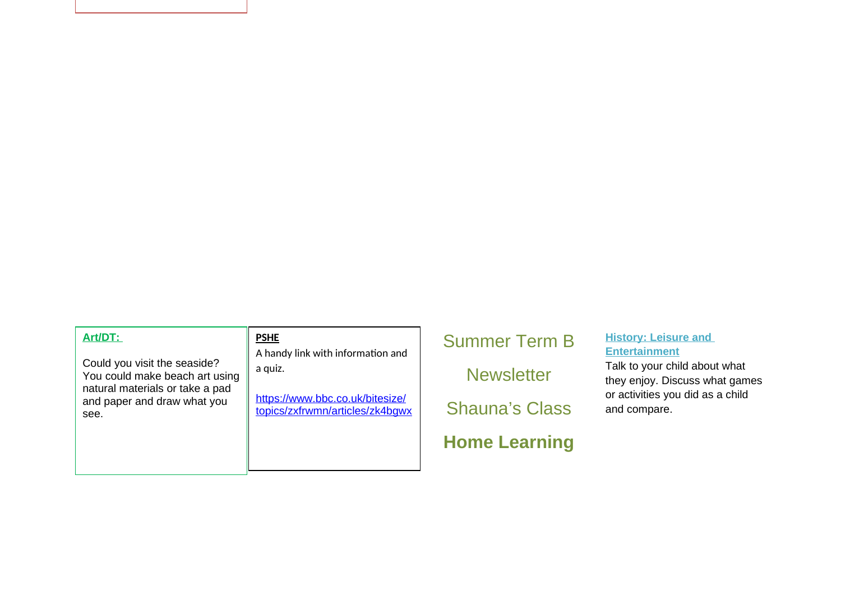### **Art/DT:**

Could you visit the seaside? You could make beach art using natural materials or take a pad and paper and draw what you see.

#### **PSHE**

A handy link with information and a quiz.

https://www.bbc.co.uk/bitesize/ topics/zxfrwmn/articles/zk4bgwx Summer Term B **Newsletter** Shauna's Class **Home Learning** 

# **History: Leisure and Entertainment**

Talk to your child about what they enjoy. Discuss what games or activities you did as a child and compare.